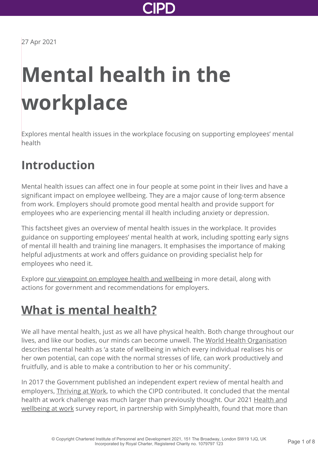

27 Apr 2021

# **Mental health in the workplace**

Explores mental health issues in the workplace focusing on supporting employees' mental health

### **Introduction**

Mental health issues can affect one in four people at some point in their lives and have a significant impact on employee wellbeing. They are a major cause of long-term absence from work. Employers should promote good mental health and provide support for employees who are experiencing mental ill health including anxiety or depression.

This factsheet gives an overview of mental health issues in the workplace. It provides guidance on supporting employees' mental health at work, including spotting early signs of mental ill health and training line managers. It emphasises the importance of making helpful adjustments at work and offers guidance on providing specialist help for employees who need it.

Explore [our viewpoint on employee health and wellbeing](http://www.cipd.co.uk/news-views/viewpoint/employee-health-well-being/) in more detail, along with actions for government and recommendations for employers.

### **[What is mental health?](http://www.cipd.co.uk/knowledge/culture/well-being/mental-health-factsheet?pdf=true#)**

We all have mental health, just as we all have physical health. Both change throughout our lives, and like our bodies, our minds can become unwell. The [World Health Organisation](http://www.who.int/features/factfiles/mental_health/en/) describes mental health as 'a state of wellbeing in which every individual realises his or her own potential, can cope with the normal stresses of life, can work productively and fruitfully, and is able to make a contribution to her or his community'.

In 2017 the Government published an independent expert review of mental health and employers, [Thriving at Work](https://www.gov.uk/government/publications/thriving-at-work-a-review-of-mental-health-and-employers), to which the CIPD contributed. It concluded that the mental [health at work challenge was much larger than previously thought. Our 2021 Health and](http://www.cipd.co.uk/knowledge/culture/well-being/health-well-being-work/) wellbeing at work survey report, in partnership with Simplyhealth, found that more than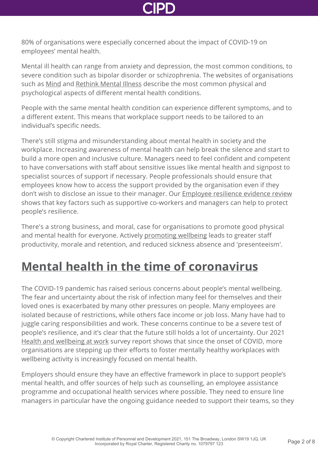

80% of organisations were especially concerned about the impact of COVID-19 on employees' mental health.

Mental ill health can range from anxiety and depression, the most common conditions, to severe condition such as bipolar disorder or schizophrenia. The websites of organisations such as [Mind](http://www.mind.org.uk/) and [Rethink Mental Illness](http://www.rethink.org/) describe the most common physical and psychological aspects of different mental health conditions.

People with the same mental health condition can experience different symptoms, and to a different extent. This means that workplace support needs to be tailored to an individual's specific needs.

There's still stigma and misunderstanding about mental health in society and the workplace. Increasing awareness of mental health can help break the silence and start to build a more open and inclusive culture. Managers need to feel confident and competent to have conversations with staff about sensitive issues like mental health and signpost to specialist sources of support if necessary. People professionals should ensure that employees know how to access the support provided by the organisation even if they don't wish to disclose an issue to their manager. Our [Employee resilience evidence review](http://www.cipd.co.uk/knowledge/culture/well-being/evidence-resilience/) shows that key factors such as supportive co-workers and managers can help to protect people's resilience.

There's a strong business, and moral, case for organisations to promote good physical and mental health for everyone. Actively [promoting wellbeing](http://www.cipd.co.uk/knowledge/culture/well-being/factsheet/) leads to greater staff productivity, morale and retention, and reduced sickness absence and 'presenteeism'.

### **[Mental health in the time of coronavirus](http://www.cipd.co.uk/knowledge/culture/well-being/mental-health-factsheet?pdf=true#)**

The COVID-19 pandemic has raised serious concerns about people's mental wellbeing. The fear and uncertainty about the risk of infection many feel for themselves and their loved ones is exacerbated by many other pressures on people. Many employees are isolated because of restrictions, while others face income or job loss. Many have had to juggle caring responsibilities and work. These concerns continue to be a severe test of people's resilience, and it's clear that the future still holds a lot of uncertainty. Our 2021 [Health and wellbeing at work](http://www.cipd.co.uk/knowledge/culture/well-being/health-well-being-work/) survey report shows that since the onset of COVID, more organisations are stepping up their efforts to foster mentally healthy workplaces with wellbeing activity is increasingly focused on mental health.

Employers should ensure they have an effective framework in place to support people's mental health, and offer sources of help such as counselling, an employee assistance programme and occupational health services where possible. They need to ensure line managers in particular have the ongoing guidance needed to support their teams, so they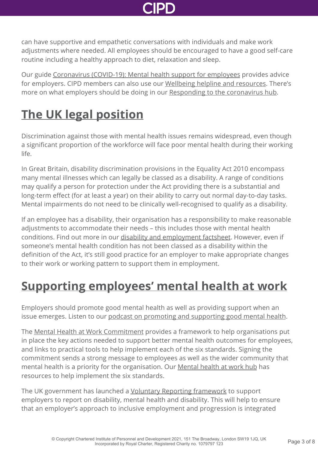

can have supportive and empathetic conversations with individuals and make work adjustments where needed. All employees should be encouraged to have a good self-care routine including a healthy approach to diet, relaxation and sleep.

Our guide [Coronavirus \(COVID-19\): Mental health support for employees](http://www.cipd.co.uk/knowledge/culture/well-being/supporting-mental-health-workplace-return/) provides advice for employers. CIPD members can also use our [Wellbeing helpline and resources.](http://www.cipd.co.uk/membership/benefits/wellbeing-helpline-services/) There's more on what employers should be doing in our [Responding to the coronavirus hub.](http://www.cipd.co.uk/knowledge/coronavirus/)

### **[The UK legal position](http://www.cipd.co.uk/knowledge/culture/well-being/mental-health-factsheet?pdf=true#)**

Discrimination against those with mental health issues remains widespread, even though a significant proportion of the workforce will face poor mental health during their working life.

In Great Britain, disability discrimination provisions in the Equality Act 2010 encompass many mental illnesses which can legally be classed as a disability. A range of conditions may qualify a person for protection under the Act providing there is a substantial and long-term effect (for at least a year) on their ability to carry out normal day-to-day tasks. Mental impairments do not need to be clinically well-recognised to qualify as a disability.

If an employee has a disability, their organisation has a responsibility to make reasonable adjustments to accommodate their needs – this includes those with mental health conditions. Find out more in our [disability and employment factsheet.](http://www.cipd.co.uk/knowledge/fundamentals/emp-law/disability-discrimination/factsheet/) However, even if someone's mental health condition has not been classed as a disability within the definition of the Act, it's still good practice for an employer to make appropriate changes to their work or working pattern to support them in employment.

### **[Supporting employees' mental health at work](http://www.cipd.co.uk/knowledge/culture/well-being/mental-health-factsheet?pdf=true#)**

Employers should promote good mental health as well as providing support when an issue emerges. Listen to our [podcast on promoting and supporting good mental health](http://www.cipd.co.uk/podcasts/promoting-supporting-good-mental-health/).

The [Mental Health at Work Commitment](https://www.mentalhealthatwork.org.uk/commitment/) provides a framework to help organisations put in place the key actions needed to support better mental health outcomes for employees, and links to practical tools to help implement each of the six standards. Signing the commitment sends a strong message to employees as well as the wider community that mental health is a priority for the organisation. Our [Mental health at work hub](http://www.cipd.co.uk/knowledge/culture/well-being/mental-health-at-work-commitment/) has resources to help implement the six standards.

The UK government has launched a [Voluntary Reporting framework](https://www.gov.uk/government/publications/voluntary-reporting-on-disability-mental-health-and-wellbeing) to support employers to report on disability, mental health and disability. This will help to ensure that an employer's approach to inclusive employment and progression is integrated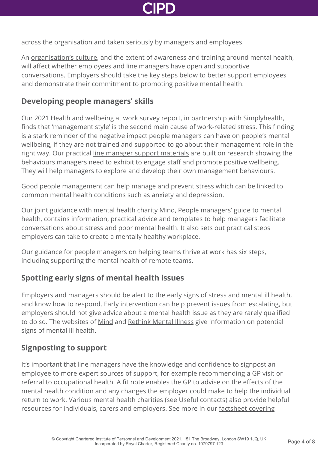

across the organisation and taken seriously by managers and employees.

An [organisation's culture,](http://www.cipd.co.uk/knowledge/culture/working-environment/organisation-culture-change-factsheet/) and the extent of awareness and training around mental health, will affect whether employees and line managers have open and supportive conversations. Employers should take the key steps below to better support employees and demonstrate their commitment to promoting positive mental health.

#### **Developing people managers' skills**

Our 2021 [Health and wellbeing at work](http://www.cipd.co.uk/knowledge/culture/well-being/health-well-being-work/) survey report, in partnership with Simplyhealth, finds that 'management style' is the second main cause of work-related stress. This finding is a stark reminder of the negative impact people managers can have on people's mental wellbeing, if they are not trained and supported to go about their management role in the right way. Our practical [line manager support materials](http://www.cipd.co.uk/knowledge/fundamentals/people/line-manager/) are built on research showing the behaviours managers need to exhibit to engage staff and promote positive wellbeing. They will help managers to explore and develop their own management behaviours.

Good people management can help manage and prevent stress which can be linked to common mental health conditions such as anxiety and depression.

Our joint guidance with mental health charity Mind, People managers' guide to mental [health, contains information, practical advice and templates to help managers facilitate](http://www.cipd.co.uk/knowledge/culture/well-being/mental-health-support-report/) conversations about stress and poor mental health. It also sets out practical steps employers can take to create a mentally healthy workplace.

Our guidance for people managers on helping teams thrive at work has six steps, including supporting the mental health of remote teams.

### **Spotting early signs of mental health issues**

Employers and managers should be alert to the early signs of stress and mental ill health, and know how to respond. Early intervention can help prevent issues from escalating, but employers should not give advice about a mental health issue as they are rarely qualified to do so. The websites of [Mind](http://www.mind.org.uk/) and [Rethink Mental Illness](http://www.rethink.org/) give information on potential signs of mental ill health.

#### **Signposting to support**

It's important that line managers have the knowledge and confidence to signpost an employee to more expert sources of support, for example recommending a GP visit or referral to occupational health. A fit note enables the GP to advise on the effects of the mental health condition and any changes the employer could make to help the individual return to work. Various mental health charities (see Useful contacts) also provide helpful [resources for individuals, carers and employers. See more in our factsheet covering](http://www.cipd.co.uk/knowledge/fundamentals/relations/absence/factsheet/)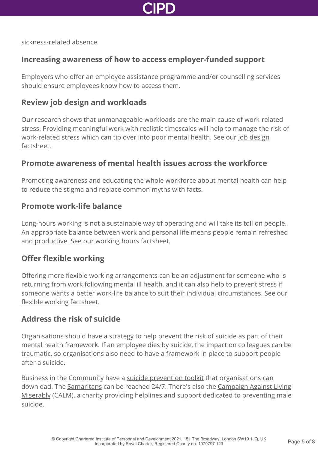

[sickness-related absence.](http://www.cipd.co.uk/knowledge/fundamentals/relations/absence/factsheet/)

#### **Increasing awareness of how to access employer-funded support**

Employers who offer an employee assistance programme and/or counselling services should ensure employees know how to access them.

#### **Review job design and workloads**

Our research shows that unmanageable workloads are the main cause of work-related stress. Providing meaningful work with realistic timescales will help to manage the risk of [work-related stress which can tip over into poor mental health. See our job design](http://www.cipd.co.uk/knowledge/strategy/organisational-development/job-design-factsheet/) factsheet.

#### **Promote awareness of mental health issues across the workforce**

Promoting awareness and educating the whole workforce about mental health can help to reduce the stigma and replace common myths with facts.

#### **Promote work-life balance**

Long-hours working is not a sustainable way of operating and will take its toll on people. An appropriate balance between work and personal life means people remain refreshed and productive. See our [working hours factsheet](http://www.cipd.co.uk/knowledge/fundamentals/emp-law/working-time/factsheet/).

#### **Offer flexible working**

Offering more flexible working arrangements can be an adjustment for someone who is returning from work following mental ill health, and it can also help to prevent stress if someone wants a better work-life balance to suit their individual circumstances. See our [flexible working factsheet](http://www.cipd.co.uk/knowledge/fundamentals/relations/flexible-working/factsheet/).

#### **Address the risk of suicide**

Organisations should have a strategy to help prevent the risk of suicide as part of their mental health framework. If an employee dies by suicide, the impact on colleagues can be traumatic, so organisations also need to have a framework in place to support people after a suicide.

Business in the Community have a [suicide prevention toolkit](https://wellbeing.bitc.org.uk/all-resources/toolkits/suicide-prevention-toolkit) that organisations can download. The [Samaritans](https://www.samaritans.org/how-we-can-help-you/contact-us) can be reached 24/7. There's also the Campaign Against Living [Miserably \(CALM\), a charity providing helplines and support dedicated to preventing male](http://www.thecalmzone.net) suicide.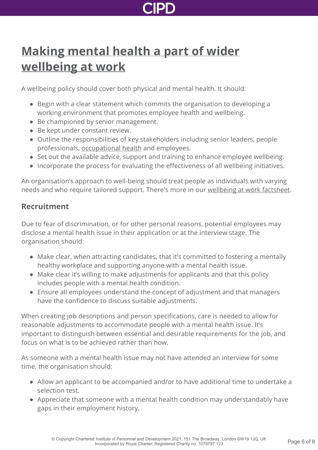## **[Making mental health a part of wider](http://www.cipd.co.uk/knowledge/culture/well-being/mental-health-factsheet?pdf=true#) wellbeing at work**

A wellbeing policy should cover both physical and mental health. It should:

- Begin with a clear statement which commits the organisation to developing a working environment that promotes employee health and wellbeing.
- Be championed by senior management.
- Be kept under constant review.
- Outline the responsibilities of key stakeholders including senior leaders, people professionals, [occupational health](http://www.cipd.co.uk/knowledge/culture/well-being/occupational-health-factsheet/) and employees.
- Set out the available advice, support and training to enhance employee wellbeing.
- Incorporate the process for evaluating the effectiveness of all wellbeing initiatives.

An organisation's approach to well-being should treat people as individuals with varying needs and who require tailored support. There's more in our [wellbeing at work factsheet](http://www.cipd.co.uk/knowledge/culture/well-being/factsheet/).

#### **Recruitment**

Due to fear of discrimination, or for other personal reasons, potential employees may disclose a mental health issue in their application or at the interview stage. The organisation should:

- Make clear, when attracting candidates, that it's committed to fostering a mentally healthy workplace and supporting anyone with a mental health issue.
- Make clear it's willing to make adjustments for applicants and that this policy includes people with a mental health condition.
- Ensure all employees understand the concept of adjustment and that managers have the confidence to discuss suitable adjustments.

When creating job descriptions and person specifications, care is needed to allow for reasonable adjustments to accommodate people with a mental health issue. It's important to distinguish between essential and desirable requirements for the job, and focus on what is to be achieved rather than how.

As someone with a mental health issue may not have attended an interview for some time, the organisation should:

- Allow an applicant to be accompanied and/or to have additional time to undertake a selection test.
- Appreciate that someone with a mental health condition may understandably have gaps in their employment history.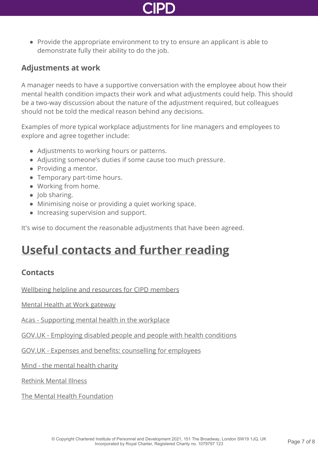

• Provide the appropriate environment to try to ensure an applicant is able to demonstrate fully their ability to do the job.

#### **Adjustments at work**

A manager needs to have a supportive conversation with the employee about how their mental health condition impacts their work and what adjustments could help. This should be a two-way discussion about the nature of the adjustment required, but colleagues should not be told the medical reason behind any decisions.

Examples of more typical workplace adjustments for line managers and employees to explore and agree together include:

- Adjustments to working hours or patterns.
- Adjusting someone's duties if some cause too much pressure.
- Providing a mentor.
- Temporary part-time hours.
- Working from home.
- $\bullet$  Job sharing.
- Minimising noise or providing a quiet working space.
- Increasing supervision and support.

It's wise to document the reasonable adjustments that have been agreed.

### **[Useful contacts and further reading](http://www.cipd.co.uk/knowledge/culture/well-being/mental-health-factsheet?pdf=true#)**

#### **Contacts**

[Wellbeing helpline and resources for CIPD members](http://www.cipd.co.uk/membership/benefits/wellbeing-helpline-services/)

[Mental Health at Work gateway](https://www.mentalhealthatwork.org.uk/)

[Acas - Supporting mental health in the workplace](https://www.acas.org.uk/supporting-mental-health-workplace)

[GOV.UK - Employing disabled people and people with health conditions](https://www.gov.uk/government/publications/employing-disabled-people-and-people-with-health-conditions/employing-disabled-people-and-people-with-health-conditions)

[GOV.UK - Expenses and benefits: counselling for employees](https://www.gov.uk/expenses-and-benefits-counselling)

[Mind - the mental health charity](http://www.mind.org.uk/)

[Rethink Mental Illness](http://www.rethink.org/)

[The Mental Health Foundation](http://www.mentalhealth.org.uk/)